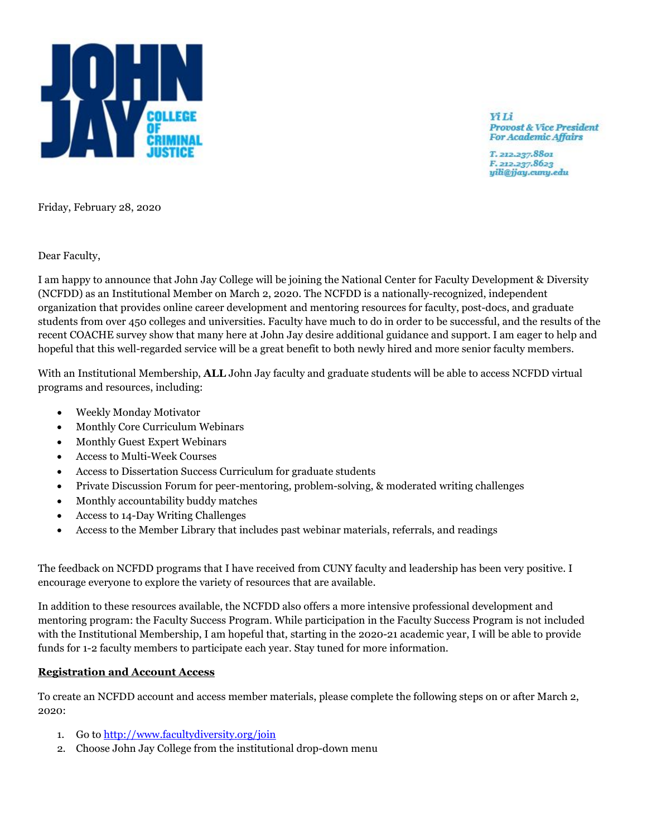

**Yi** Li **Provost & Vice President For Academic Affairs** 

T. 212.237.8801 F. 212.237.8623 yili@jjay.cuny.edu

Friday, February 28, 2020

Dear Faculty,

I am happy to announce that John Jay College will be joining the National Center for Faculty Development & Diversity (NCFDD) as an Institutional Member on March 2, 2020. The NCFDD is a nationally-recognized, independent organization that provides online career development and mentoring resources for faculty, post-docs, and graduate students from over 450 colleges and universities. Faculty have much to do in order to be successful, and the results of the recent COACHE survey show that many here at John Jay desire additional guidance and support. I am eager to help and hopeful that this well-regarded service will be a great benefit to both newly hired and more senior faculty members.

With an Institutional Membership, **ALL** John Jay faculty and graduate students will be able to access NCFDD virtual programs and resources, including:

- Weekly Monday Motivator
- Monthly Core Curriculum Webinars
- Monthly Guest Expert Webinars
- Access to Multi-Week Courses
- Access to Dissertation Success Curriculum for graduate students
- Private Discussion Forum for peer-mentoring, problem-solving, & moderated writing challenges
- Monthly accountability buddy matches
- Access to 14-Day Writing Challenges
- Access to the Member Library that includes past webinar materials, referrals, and readings

The feedback on NCFDD programs that I have received from CUNY faculty and leadership has been very positive. I encourage everyone to explore the variety of resources that are available.

In addition to these resources available, the NCFDD also offers a more intensive professional development and mentoring program: the Faculty Success Program. While participation in the Faculty Success Program is not included with the Institutional Membership, I am hopeful that, starting in the 2020-21 academic year, I will be able to provide funds for 1-2 faculty members to participate each year. Stay tuned for more information.

## **Registration and Account Access**

To create an NCFDD account and access member materials, please complete the following steps on or after March 2, 2020:

- 1. Go to<http://www.facultydiversity.org/join>
- 2. Choose John Jay College from the institutional drop-down menu